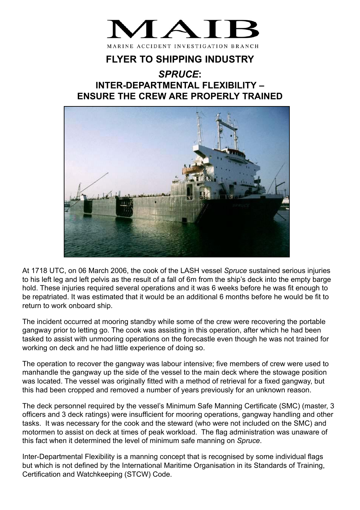

## **FLYER TO SHIPPING INDUSTRY**

## *SPRUCE***: INTER-DEPARTMENTAL FLEXIBILITY – ENSURE THE CREW ARE PROPERLY TRAINED**



At 1718 UTC, on 06 March 2006, the cook of the LASH vessel *Spruce* sustained serious injuries to his left leg and left pelvis as the result of a fall of 6m from the ship's deck into the empty barge hold. These injuries required several operations and it was 6 weeks before he was fit enough to be repatriated. It was estimated that it would be an additional 6 months before he would be fit to return to work onboard ship.

The incident occurred at mooring standby while some of the crew were recovering the portable gangway prior to letting go. The cook was assisting in this operation, after which he had been tasked to assist with unmooring operations on the forecastle even though he was not trained for working on deck and he had little experience of doing so.

The operation to recover the gangway was labour intensive; five members of crew were used to manhandle the gangway up the side of the vessel to the main deck where the stowage position was located. The vessel was originally fitted with a method of retrieval for a fixed gangway, but this had been cropped and removed a number of years previously for an unknown reason.

The deck personnel required by the vessel's Minimum Safe Manning Certificate (SMC) (master, 3 officers and 3 deck ratings) were insufficient for mooring operations, gangway handling and other tasks. It was necessary for the cook and the steward (who were not included on the SMC) and motormen to assist on deck at times of peak workload. The flag administration was unaware of this fact when it determined the level of minimum safe manning on *Spruce*.

Inter-Departmental Flexibility is a manning concept that is recognised by some individual flags but which is not defined by the International Maritime Organisation in its Standards of Training, Certification and Watchkeeping (STCW) Code.